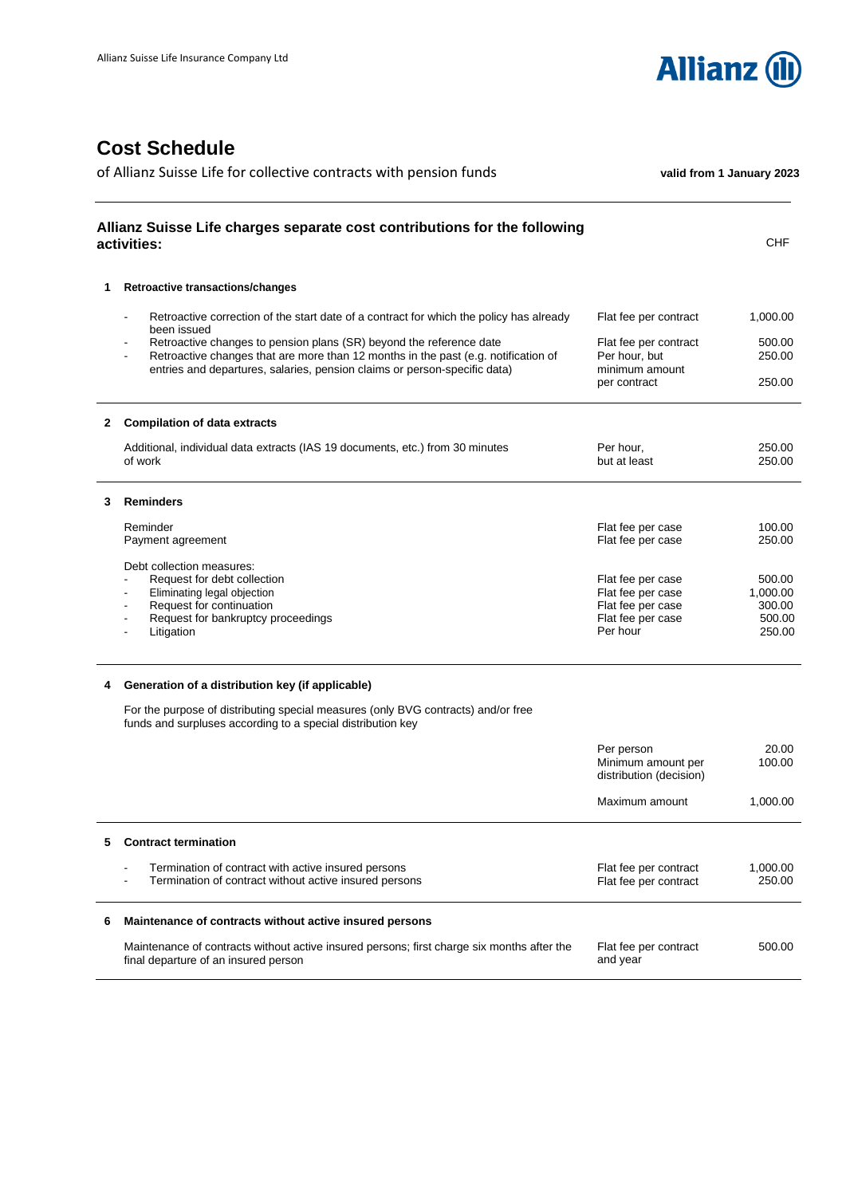

## **Cost Schedule**

|   | Allianz Suisse Life charges separate cost contributions for the following<br>activities:                                                                                                                                                                 |                                                             | <b>CHF</b>         |
|---|----------------------------------------------------------------------------------------------------------------------------------------------------------------------------------------------------------------------------------------------------------|-------------------------------------------------------------|--------------------|
| 1 | <b>Retroactive transactions/changes</b>                                                                                                                                                                                                                  |                                                             |                    |
|   | Retroactive correction of the start date of a contract for which the policy has already<br>been issued                                                                                                                                                   | Flat fee per contract                                       | 1,000.00           |
|   | Retroactive changes to pension plans (SR) beyond the reference date<br>$\blacksquare$<br>Retroactive changes that are more than 12 months in the past (e.g. notification of<br>entries and departures, salaries, pension claims or person-specific data) | Flat fee per contract<br>Per hour, but<br>minimum amount    | 500.00<br>250.00   |
|   |                                                                                                                                                                                                                                                          | per contract                                                | 250.00             |
| 2 | <b>Compilation of data extracts</b>                                                                                                                                                                                                                      |                                                             |                    |
|   | Additional, individual data extracts (IAS 19 documents, etc.) from 30 minutes<br>of work                                                                                                                                                                 | Per hour,<br>but at least                                   | 250.00<br>250.00   |
| 3 | <b>Reminders</b>                                                                                                                                                                                                                                         |                                                             |                    |
|   | Reminder<br>Payment agreement                                                                                                                                                                                                                            | Flat fee per case<br>Flat fee per case                      | 100.00<br>250.00   |
|   | Debt collection measures:<br>Request for debt collection                                                                                                                                                                                                 | Flat fee per case                                           | 500.00             |
|   | Eliminating legal objection<br>$\blacksquare$                                                                                                                                                                                                            | Flat fee per case                                           | 1,000.00           |
|   | Request for continuation<br>$\blacksquare$<br>Request for bankruptcy proceedings                                                                                                                                                                         | Flat fee per case<br>Flat fee per case                      | 300.00<br>500.00   |
|   | Litigation                                                                                                                                                                                                                                               | Per hour                                                    | 250.00             |
| 4 | Generation of a distribution key (if applicable)                                                                                                                                                                                                         |                                                             |                    |
|   | For the purpose of distributing special measures (only BVG contracts) and/or free<br>funds and surpluses according to a special distribution key                                                                                                         |                                                             |                    |
|   |                                                                                                                                                                                                                                                          | Per person<br>Minimum amount per<br>distribution (decision) | 20.00<br>100.00    |
|   |                                                                                                                                                                                                                                                          | Maximum amount                                              | 1,000.00           |
| 5 | <b>Contract termination</b>                                                                                                                                                                                                                              |                                                             |                    |
|   | Termination of contract with active insured persons<br>Termination of contract without active insured persons                                                                                                                                            | Flat fee per contract<br>Flat fee per contract              | 1,000.00<br>250.00 |
| 6 | Maintenance of contracts without active insured persons                                                                                                                                                                                                  |                                                             |                    |
|   | Maintenance of contracts without active insured persons; first charge six months after the<br>final departure of an insured person                                                                                                                       | Flat fee per contract<br>and year                           | 500.00             |